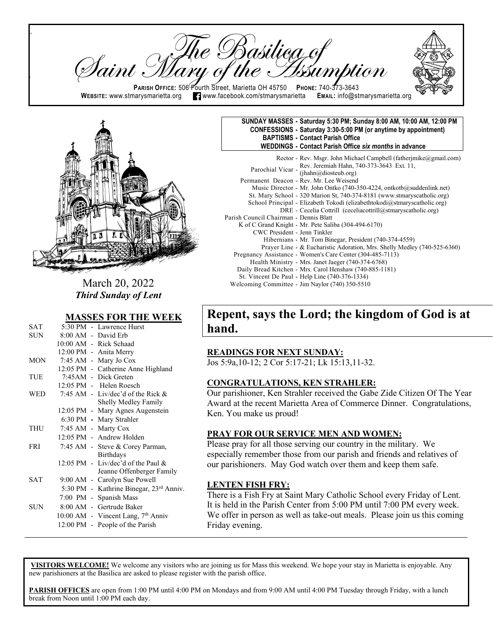re Basilieg of<br>y of the *Iss*um <sup>I</sup>aint : **PARISH OFFICE:** 506 Fourth Street, Marietta OH 45750 **PHONE: 740-373-3643**<br>WEBSITE: www.stmarysmarietta.org **Teles www.facebook.com/stmarysmarietta** EMAIL: info@stmarysmarietta.org  $\blacksquare$  www.facebook.com/stmarysmarietta



 $\mathsf{p}$ 

ll

March 20, 2022 *Third Sunday of Lent* 

#### **MASSES FOR THE WEEK**

| SAT        |  | 5:30 PM - Lawrence Hurst                       |
|------------|--|------------------------------------------------|
| SUN        |  | 8:00 AM - David Erb                            |
|            |  | 10:00 AM - Rick Schaad                         |
|            |  | 12:00 PM - Anita Merry                         |
| MON        |  | 7:45 AM - Mary Jo Cox                          |
|            |  | 12:05 PM - Catherine Anne Highland             |
| TUE        |  | 7:45AM - Dick Greten                           |
|            |  | 12:05 PM - Helen Roesch                        |
| WED        |  | 7:45 AM - Liv/dec'd of the Rick $&$            |
|            |  | Shelly Medley Family                           |
|            |  | 12:05 PM - Mary Agnes Augenstein               |
|            |  | 6:30 PM - Mary Strahler                        |
| THU        |  | 7:45 AM - Marty Cox                            |
|            |  | 12:05 PM - Andrew Holden                       |
| <b>FRI</b> |  | 7:45 AM - Steve & Corey Parman,                |
|            |  | <b>Birthdays</b>                               |
|            |  | 12:05 PM - Liv/dec'd of the Paul &             |
|            |  | Jeanne Offenberger Family                      |
| <b>SAT</b> |  | 9:00 AM - Carolyn Sue Powell                   |
|            |  | 5:30 PM - Kathrine Binegar, 23rd Anniv.        |
|            |  | 7:00 PM - Spanish Mass                         |
| SUN        |  | 8:00 AM - Gertrude Baker                       |
|            |  | 10:00 AM - Vincent Lang, 7 <sup>th</sup> Anniv |
|            |  | 12:00 PM - People of the Parish                |
|            |  |                                                |

| SUNDAY MASSES - Saturday 5:30 PM; Sunday 8:00 AM, 10:00 AM, 12:00 PM<br>CONFESSIONS - Saturday 3:30-5:00 PM (or anytime by appointment)<br><b>BAPTISMS - Contact Parish Office</b><br><b>WEDDINGS - Contact Parish Office six months in advance</b> |
|-----------------------------------------------------------------------------------------------------------------------------------------------------------------------------------------------------------------------------------------------------|
| Rector - Rev. Msgr. John Michael Campbell (fatherimike@gmail.com)<br>Rev. Jeremiah Hahn, 740-373-3643 Ext. 11,                                                                                                                                      |

# **Repent, says the Lord; the kingdom of God is at hand.**

#### **READINGS FOR NEXT SUNDAY:**

Jos 5:9a,10-12; 2 Cor 5:17-21; Lk 15:13,11-32.

#### **CONGRATULATIONS, KEN STRAHLER:**

Our parishioner, Ken Strahler received the Gabe Zide Citizen Of The Year Award at the recent Marietta Area of Commerce Dinner. Congratulations, Ken. You make us proud!

#### **PRAY FOR OUR SERVICE MEN AND WOMEN:**

Please pray for all those serving our country in the military. We especially remember those from our parish and friends and relatives of our parishioners. May God watch over them and keep them safe.

#### **LENTEN FISH FRY:**

There is a Fish Fry at Saint Mary Catholic School every Friday of Lent. It is held in the Parish Center from 5:00 PM until 7:00 PM every week. We offer in person as well as take-out meals. Please join us this coming Friday evening.

**VISITORS WELCOME!** We welcome any visitors who are joining us for Mass this weekend. We hope your stay in Marietta is enjoyable. Any new parishioners at the Basilica are asked to please register with the parish office.

**PARISH OFFICES** are open from 1:00 PM until 4:00 PM on Mondays and from 9:00 AM until 4:00 PM Tuesday through Friday, with a lunch break from Noon until 1:00 PM each day.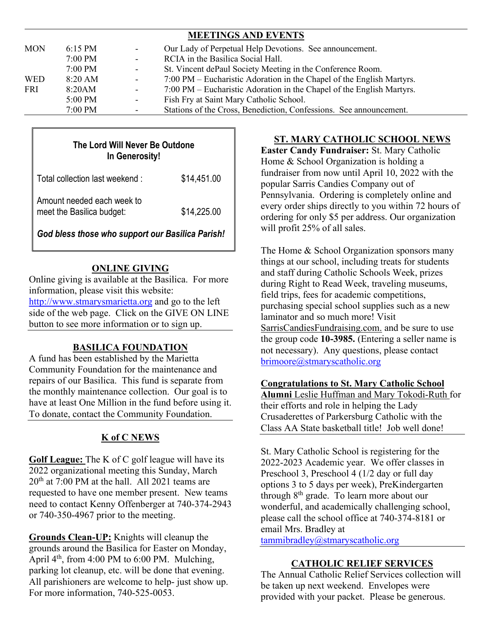|                   |                          | <b>MEETINGS AND EVENTS</b>                                            |
|-------------------|--------------------------|-----------------------------------------------------------------------|
| $6:15 \text{ PM}$ | $\overline{\phantom{a}}$ | Our Lady of Perpetual Help Devotions. See announcement.               |
| 7:00 PM           | $\sim$                   | RCIA in the Basilica Social Hall.                                     |
| $7:00$ PM         | $\overline{\phantom{a}}$ | St. Vincent dePaul Society Meeting in the Conference Room.            |
| 8:20 AM           | $\overline{\phantom{a}}$ | 7:00 PM – Eucharistic Adoration in the Chapel of the English Martyrs. |
| 8:20AM            | $\overline{\phantom{a}}$ | 7:00 PM – Eucharistic Adoration in the Chapel of the English Martyrs. |
| 5:00 PM           | $\overline{\phantom{a}}$ | Fish Fry at Saint Mary Catholic School.                               |
| $7:00$ PM         |                          | Stations of the Cross, Benediction, Confessions. See announcement.    |
|                   |                          |                                                                       |

## **The Lord Will Never Be Outdone In Generosity!**

| Total collection last weekend:                          | \$14,451.00 |
|---------------------------------------------------------|-------------|
| Amount needed each week to<br>meet the Basilica budget: | \$14,225.00 |

*God bless those who support our Basilica Parish!*

## **ONLINE GIVING**

Online giving is available at the Basilica. For more information, please visit this website: [http://www.stmarysmarietta.org](http://www.stmarysmarietta.org/) and go to the left side of the web page. Click on the GIVE ON LINE button to see more information or to sign up.

## **BASILICA FOUNDATION**

A fund has been established by the Marietta Community Foundation for the maintenance and repairs of our Basilica. This fund is separate from the monthly maintenance collection. Our goal is to have at least One Million in the fund before using it. To donate, contact the Community Foundation.

# **K of C NEWS**

**Golf League:** The K of C golf league will have its 2022 organizational meeting this Sunday, March  $20<sup>th</sup>$  at 7:00 PM at the hall. All 2021 teams are requested to have one member present. New teams need to contact Kenny Offenberger at 740-374-2943 or 740-350-4967 prior to the meeting.

**Grounds Clean-UP:** Knights will cleanup the grounds around the Basilica for Easter on Monday, April  $4<sup>th</sup>$ , from 4:00 PM to 6:00 PM. Mulching, parking lot cleanup, etc. will be done that evening. All parishioners are welcome to help- just show up. For more information, 740-525-0053.

## **ST. MARY CATHOLIC SCHOOL NEWS**

**Easter Candy Fundraiser:** St. Mary Catholic Home & School Organization is holding a fundraiser from now until April 10, 2022 with the popular Sarris Candies Company out of Pennsylvania. Ordering is completely online and every order ships directly to you within 72 hours of ordering for only \$5 per address. Our organization will profit 25% of all sales.

The Home & School Organization sponsors many things at our school, including treats for students and staff during Catholic Schools Week, prizes during Right to Read Week, traveling museums, field trips, fees for academic competitions, purchasing special school supplies such as a new laminator and so much more! Visit SarrisCandiesFundraising.com. and be sure to use the group code **10-3985.** (Entering a seller name is not necessary). Any questions, please contact [brimoore@stmaryscatholic.org](mailto:brimoore@stmaryscatholic.org)

### **Congratulations to St. Mary Catholic School**

**Alumni** Leslie Huffman and Mary Tokodi-Ruth for their efforts and role in helping the Lady Crusaderettes of Parkersburg Catholic with the Class AA State basketball title! Job well done!

St. Mary Catholic School is registering for the 2022-2023 Academic year. We offer classes in Preschool 3, Preschool 4 (1/2 day or full day options 3 to 5 days per week), PreKindergarten through  $8<sup>th</sup>$  grade. To learn more about our wonderful, and academically challenging school, please call the school office at 740-374-8181 or email Mrs. Bradley at

[tammibradley@stmaryscatholic.org](mailto:tammibradley@stmaryscatholic.org) 

## **CATHOLIC RELIEF SERVICES**

The Annual Catholic Relief Services collection will be taken up next weekend. Envelopes were provided with your packet. Please be generous.